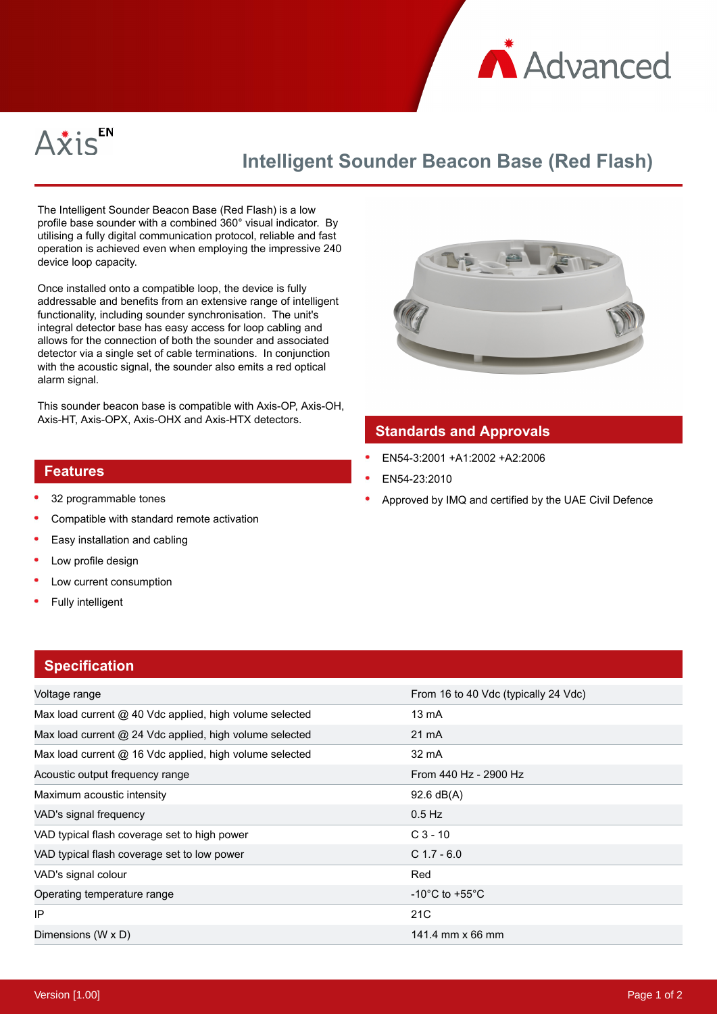



# **Intelligent Sounder Beacon Base (Red Flash)**

The Intelligent Sounder Beacon Base (Red Flash) is a low profile base sounder with a combined 360° visual indicator. By utilising a fully digital communication protocol, reliable and fast operation is achieved even when employing the impressive 240 device loop capacity.

Once installed onto a compatible loop, the device is fully addressable and benefits from an extensive range of intelligent functionality, including sounder synchronisation. The unit's integral detector base has easy access for loop cabling and allows for the connection of both the sounder and associated detector via a single set of cable terminations. In conjunction with the acoustic signal, the sounder also emits a red optical alarm signal.

This sounder beacon base is compatible with Axis-OP, Axis-OH, Axis-HT, Axis-OPX, Axis-OHX and Axis-HTX detectors.



### **Standards and Approvals**

- EN54-3:2001 +A1:2002 +A2:2006
- EN54-23:2010
- Approved by IMQ and certified by the UAE Civil Defence

#### **Features**

- 32 programmable tones
- Compatible with standard remote activation
- Easy installation and cabling
- Low profile design
- Low current consumption
- Fully intelligent

## **Specification**

| <b>UPUULLUULLUULLUU</b>                                 |                                      |
|---------------------------------------------------------|--------------------------------------|
| Voltage range                                           | From 16 to 40 Vdc (typically 24 Vdc) |
| Max load current @ 40 Vdc applied, high volume selected | 13 mA                                |
| Max load current @ 24 Vdc applied, high volume selected | 21 mA                                |
| Max load current @ 16 Vdc applied, high volume selected | 32 mA                                |
| Acoustic output frequency range                         | From 440 Hz - 2900 Hz                |
| Maximum acoustic intensity                              | $92.6 \text{ dB}(A)$                 |
| VAD's signal frequency                                  | $0.5$ Hz                             |
| VAD typical flash coverage set to high power            | $C_3 - 10$                           |
| VAD typical flash coverage set to low power             | $C$ 1.7 - 6.0                        |
| VAD's signal colour                                     | Red                                  |
| Operating temperature range                             | $-10^{\circ}$ C to $+55^{\circ}$ C   |
| IP                                                      | 21 <sub>C</sub>                      |
| Dimensions (W x D)                                      | 141.4 mm x 66 mm                     |